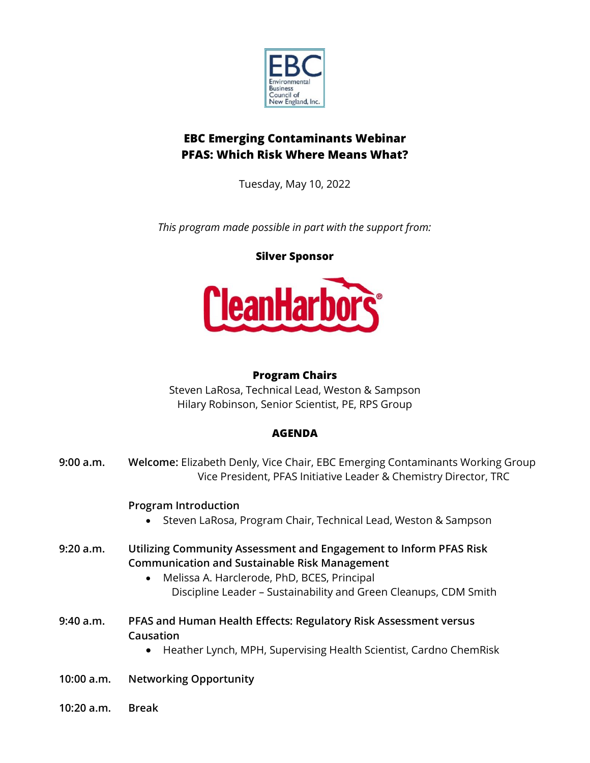

# **EBC Emerging Contaminants Webinar PFAS: Which Risk Where Means What?**

Tuesday, May 10, 2022

*This program made possible in part with the support from:*

**Silver Sponsor**



## **Program Chairs**

Steven LaRosa, Technical Lead, Weston & Sampson Hilary Robinson, Senior Scientist, PE, RPS Group

## **AGENDA**

| 9:00 a.m.    | Welcome: Elizabeth Denly, Vice Chair, EBC Emerging Contaminants Working Group<br>Vice President, PFAS Initiative Leader & Chemistry Director, TRC                                                                                                         |
|--------------|-----------------------------------------------------------------------------------------------------------------------------------------------------------------------------------------------------------------------------------------------------------|
|              | <b>Program Introduction</b><br>Steven LaRosa, Program Chair, Technical Lead, Weston & Sampson                                                                                                                                                             |
| 9:20 a.m.    | Utilizing Community Assessment and Engagement to Inform PFAS Risk<br><b>Communication and Sustainable Risk Management</b><br>Melissa A. Harclerode, PhD, BCES, Principal<br>$\bullet$<br>Discipline Leader - Sustainability and Green Cleanups, CDM Smith |
| 9:40 a.m.    | PFAS and Human Health Effects: Regulatory Risk Assessment versus<br>Causation<br>Heather Lynch, MPH, Supervising Health Scientist, Cardno ChemRisk                                                                                                        |
| 10:00 a.m.   | <b>Networking Opportunity</b>                                                                                                                                                                                                                             |
| $10:20$ a.m. | <b>Break</b>                                                                                                                                                                                                                                              |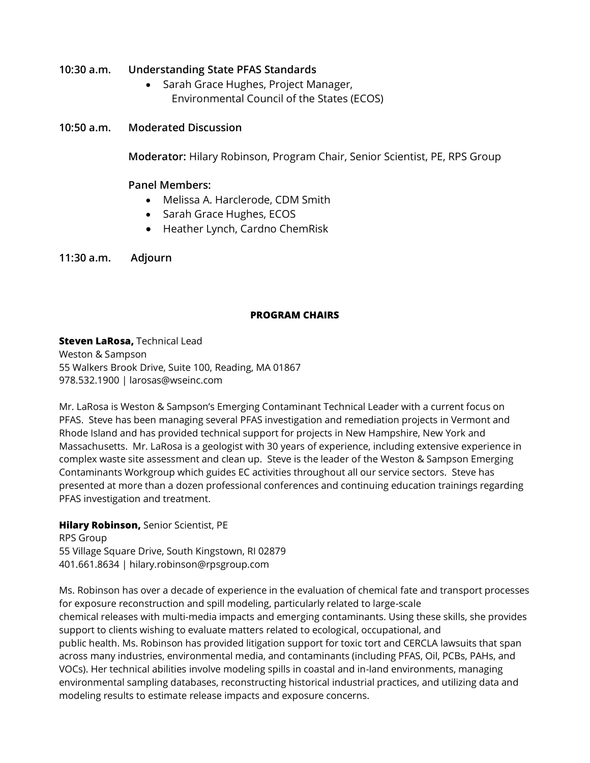## **10:30 a.m. Understanding State PFAS Standards**

• Sarah Grace Hughes, Project Manager, Environmental Council of the States (ECOS)

**10:50 a.m. Moderated Discussion**

**Moderator:** Hilary Robinson, Program Chair, Senior Scientist, PE, RPS Group

### **Panel Members:**

- Melissa A. Harclerode, CDM Smith
- Sarah Grace Hughes, ECOS
- Heather Lynch, Cardno ChemRisk

**11:30 a.m. Adjourn**

### **PROGRAM CHAIRS**

**Steven LaRosa,** Technical Lead Weston & Sampson 55 Walkers Brook Drive, Suite 100, Reading, MA 01867

978.532.1900 | larosas@wseinc.com

Mr. LaRosa is Weston & Sampson's Emerging Contaminant Technical Leader with a current focus on PFAS. Steve has been managing several PFAS investigation and remediation projects in Vermont and Rhode Island and has provided technical support for projects in New Hampshire, New York and Massachusetts. Mr. LaRosa is a geologist with 30 years of experience, including extensive experience in complex waste site assessment and clean up. Steve is the leader of the Weston & Sampson Emerging Contaminants Workgroup which guides EC activities throughout all our service sectors. Steve has presented at more than a dozen professional conferences and continuing education trainings regarding PFAS investigation and treatment.

#### **Hilary Robinson,** Senior Scientist, PE

RPS Group 55 Village Square Drive, South Kingstown, RI 02879 401.661.8634 | hilary.robinson@rpsgroup.com

Ms. Robinson has over a decade of experience in the evaluation of chemical fate and transport processes for exposure reconstruction and spill modeling, particularly related to large-scale chemical releases with multi-media impacts and emerging contaminants. Using these skills, she provides support to clients wishing to evaluate matters related to ecological, occupational, and public health. Ms. Robinson has provided litigation support for toxic tort and CERCLA lawsuits that span across many industries, environmental media, and contaminants (including PFAS, Oil, PCBs, PAHs, and VOCs). Her technical abilities involve modeling spills in coastal and in-land environments, managing environmental sampling databases, reconstructing historical industrial practices, and utilizing data and modeling results to estimate release impacts and exposure concerns.